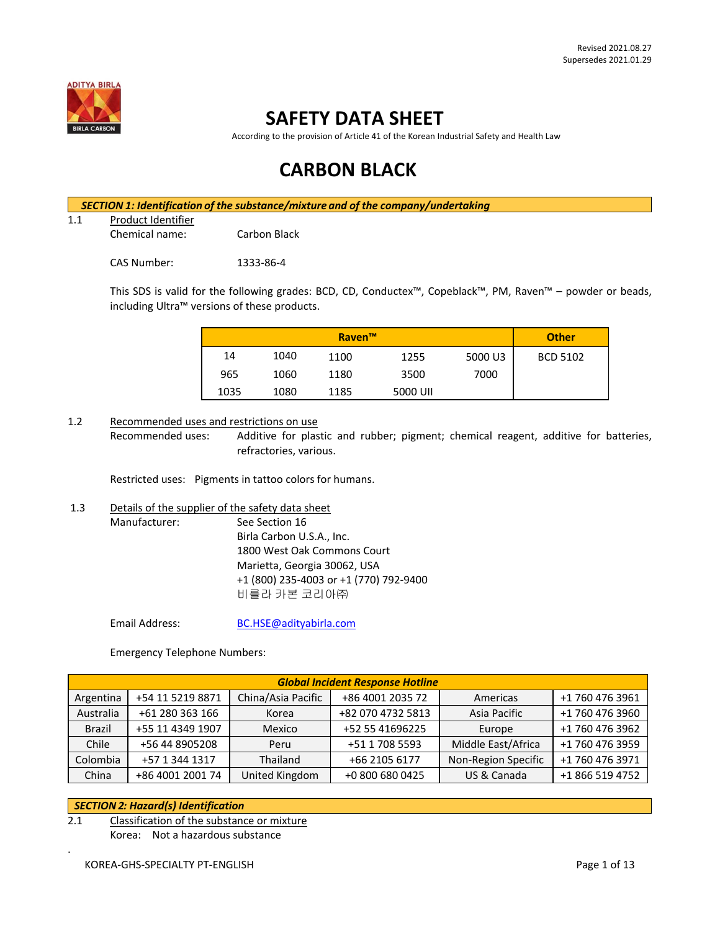

## **SAFETY DATA SHEET**

According to the provision of Article 41 of the Korean Industrial Safety and Health Law

# **CARBON BLACK**

*SECTION 1: Identification of the substance/mixture and of the company/undertaking*

1.1 Product Identifier

Chemical name: Carbon Black

CAS Number: 1333-86-4

This SDS is valid for the following grades: BCD, CD, Conductex™, Copeblack™, PM, Raven™ – powder or beads, including Ultra™ versions of these products.

|      |      | <b>Raven™</b> |          |         | <b>Other</b>    |
|------|------|---------------|----------|---------|-----------------|
| 14   | 1040 | 1100          | 1255     | 5000 U3 | <b>BCD 5102</b> |
| 965  | 1060 | 1180          | 3500     | 7000    |                 |
| 1035 | 1080 | 1185          | 5000 UII |         |                 |

#### 1.2 Recommended uses and restrictions on use

Recommended uses: Additive for plastic and rubber; pigment; chemical reagent, additive for batteries, refractories, various.

Restricted uses: Pigments in tattoo colors for humans.

1.3 Details of the supplier of the safety data sheet

Manufacturer: See Section 16 Birla Carbon U.S.A., Inc. 1800 West Oak Commons Court Marietta, Georgia 30062, USA +1 (800) 235-4003 or +1 (770) 792-9400 비를라 카본 코리아㈜

Email Address: [BC.HSE@adityabirla.com](mailto:BC.HSE@adityabirla.com)

Emergency Telephone Numbers:

| <b>Global Incident Response Hotline</b> |                  |                    |                   |                     |                 |
|-----------------------------------------|------------------|--------------------|-------------------|---------------------|-----------------|
| Argentina                               | +54 11 5219 8871 | China/Asia Pacific | +86 4001 2035 72  | Americas            | +1 760 476 3961 |
| Australia                               | +61 280 363 166  | Korea              | +82 070 4732 5813 | Asia Pacific        | +1 760 476 3960 |
| <b>Brazil</b>                           | +55 11 4349 1907 | Mexico             | +52 55 41696225   | Europe              | +1 760 476 3962 |
| Chile                                   | +56 44 8905208   | Peru               | +51 1 708 5593    | Middle East/Africa  | +1 760 476 3959 |
| Colombia                                | +57 1 344 1317   | Thailand           | +66 2105 6177     | Non-Region Specific | +1 760 476 3971 |
| China                                   | +86 4001 2001 74 | United Kingdom     | +0 800 680 0425   | US & Canada         | +1 866 519 4752 |

#### *SECTION 2: Hazard(s) Identification*

.

2.1 Classification of the substance or mixture Korea: Not a hazardous substance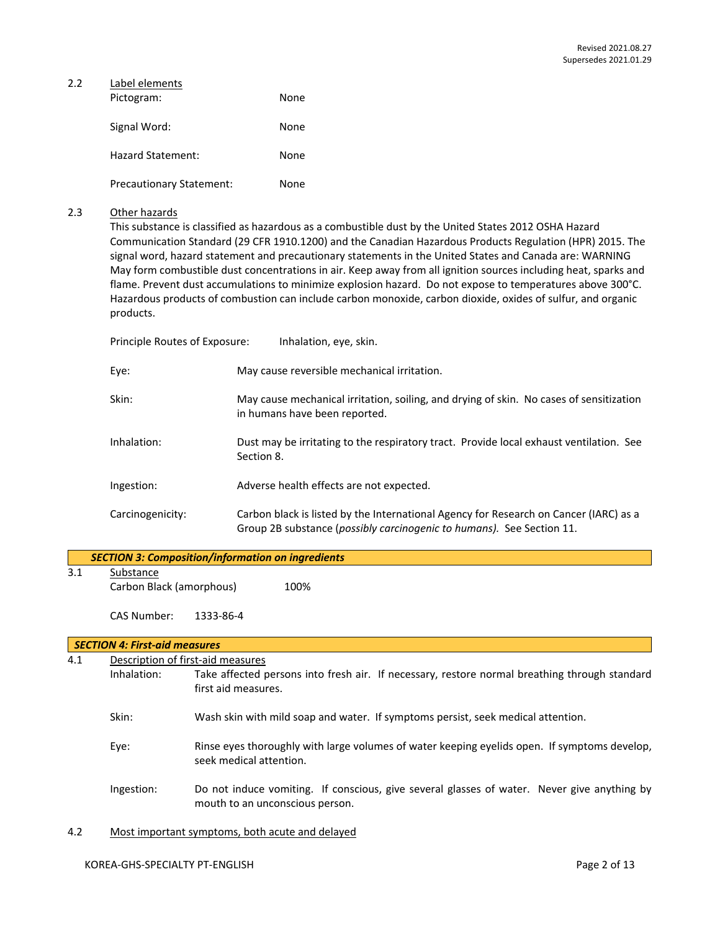| 2.2 | Label elements                  |      |  |  |  |
|-----|---------------------------------|------|--|--|--|
|     | Pictogram:                      | None |  |  |  |
|     | Signal Word:                    | None |  |  |  |
|     | Hazard Statement:               | None |  |  |  |
|     | <b>Precautionary Statement:</b> | None |  |  |  |

### 2.3 Other hazards

This substance is classified as hazardous as a combustible dust by the United States 2012 OSHA Hazard Communication Standard (29 CFR 1910.1200) and the Canadian Hazardous Products Regulation (HPR) 2015. The signal word, hazard statement and precautionary statements in the United States and Canada are: WARNING May form combustible dust concentrations in air. Keep away from all ignition sources including heat, sparks and flame. Prevent dust accumulations to minimize explosion hazard. Do not expose to temperatures above 300°C. Hazardous products of combustion can include carbon monoxide, carbon dioxide, oxides of sulfur, and organic products.

| Principle Routes of Exposure: | Inhalation, eye, skin.                                                                                                                                         |
|-------------------------------|----------------------------------------------------------------------------------------------------------------------------------------------------------------|
| Eye:                          | May cause reversible mechanical irritation.                                                                                                                    |
| Skin:                         | May cause mechanical irritation, soiling, and drying of skin. No cases of sensitization<br>in humans have been reported.                                       |
| Inhalation:                   | Dust may be irritating to the respiratory tract. Provide local exhaust ventilation. See<br>Section 8.                                                          |
| Ingestion:                    | Adverse health effects are not expected.                                                                                                                       |
| Carcinogenicity:              | Carbon black is listed by the International Agency for Research on Cancer (IARC) as a<br>Group 2B substance (possibly carcinogenic to humans). See Section 11. |

|     |                                      |                                   | <b>SECTION 3: Composition/information on ingredients</b>                                      |  |  |
|-----|--------------------------------------|-----------------------------------|-----------------------------------------------------------------------------------------------|--|--|
| 3.1 | Substance                            |                                   |                                                                                               |  |  |
|     | Carbon Black (amorphous)             |                                   | 100%                                                                                          |  |  |
|     | CAS Number:                          | 1333-86-4                         |                                                                                               |  |  |
|     | <b>SECTION 4: First-aid measures</b> |                                   |                                                                                               |  |  |
| 4.1 |                                      | Description of first-aid measures |                                                                                               |  |  |
|     | Inhalation:                          |                                   | Take affected persons into fresh air. If necessary, restore normal breathing through standard |  |  |
|     |                                      | first aid measures.               |                                                                                               |  |  |

- Skin: Wash skin with mild soap and water. If symptoms persist, seek medical attention.
- Eye: Rinse eyes thoroughly with large volumes of water keeping eyelids open. If symptoms develop, seek medical attention.
- Ingestion: Do not induce vomiting. If conscious, give several glasses of water. Never give anything by mouth to an unconscious person.
- 4.2 Most important symptoms, both acute and delayed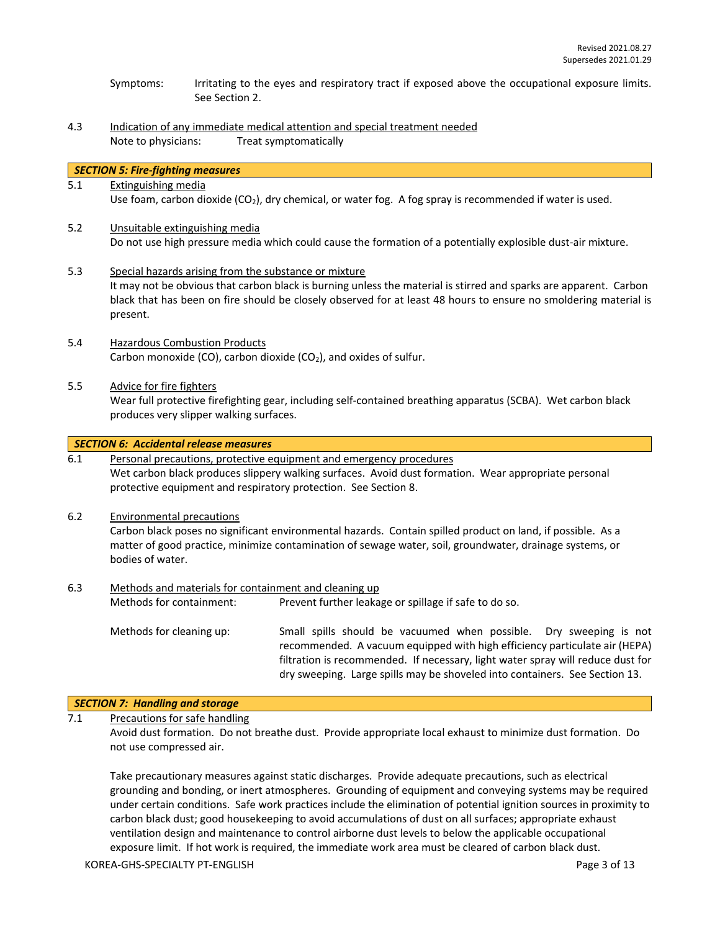- Symptoms: Irritating to the eyes and respiratory tract if exposed above the occupational exposure limits. See Section 2.
- 4.3 Indication of any immediate medical attention and special treatment needed Note to physicians: Treat symptomatically

#### *SECTION 5: Fire-fighting measures*

5.1 Extinguishing media

Use foam, carbon dioxide (CO<sub>2</sub>), dry chemical, or water fog. A fog spray is recommended if water is used.

- 5.2 Unsuitable extinguishing media Do not use high pressure media which could cause the formation of a potentially explosible dust-air mixture.
- 5.3 Special hazards arising from the substance or mixture It may not be obvious that carbon black is burning unless the material is stirred and sparks are apparent. Carbon black that has been on fire should be closely observed for at least 48 hours to ensure no smoldering material is present.
- 5.4 Hazardous Combustion Products Carbon monoxide (CO), carbon dioxide (CO<sub>2</sub>), and oxides of sulfur.
- 5.5 Advice for fire fighters

Wear full protective firefighting gear, including self-contained breathing apparatus (SCBA). Wet carbon black produces very slipper walking surfaces.

#### *SECTION 6: Accidental release measures*

6.1 Personal precautions, protective equipment and emergency procedures Wet carbon black produces slippery walking surfaces. Avoid dust formation. Wear appropriate personal protective equipment and respiratory protection. See Section 8.

#### 6.2 Environmental precautions

Carbon black poses no significant environmental hazards. Contain spilled product on land, if possible. As a matter of good practice, minimize contamination of sewage water, soil, groundwater, drainage systems, or bodies of water.

# 6.3 Methods and materials for containment and cleaning up Methods for containment: Prevent further leakage or spillage if safe to do so.

Methods for cleaning up: Small spills should be vacuumed when possible. Dry sweeping is not recommended. A vacuum equipped with high efficiency particulate air (HEPA) filtration is recommended. If necessary, light water spray will reduce dust for dry sweeping. Large spills may be shoveled into containers. See Section 13.

#### *SECTION 7: Handling and storage*

7.1 Precautions for safe handling

Avoid dust formation. Do not breathe dust. Provide appropriate local exhaust to minimize dust formation. Do not use compressed air.

Take precautionary measures against static discharges. Provide adequate precautions, such as electrical grounding and bonding, or inert atmospheres. Grounding of equipment and conveying systems may be required under certain conditions. Safe work practices include the elimination of potential ignition sources in proximity to carbon black dust; good housekeeping to avoid accumulations of dust on all surfaces; appropriate exhaust ventilation design and maintenance to control airborne dust levels to below the applicable occupational exposure limit. If hot work is required, the immediate work area must be cleared of carbon black dust.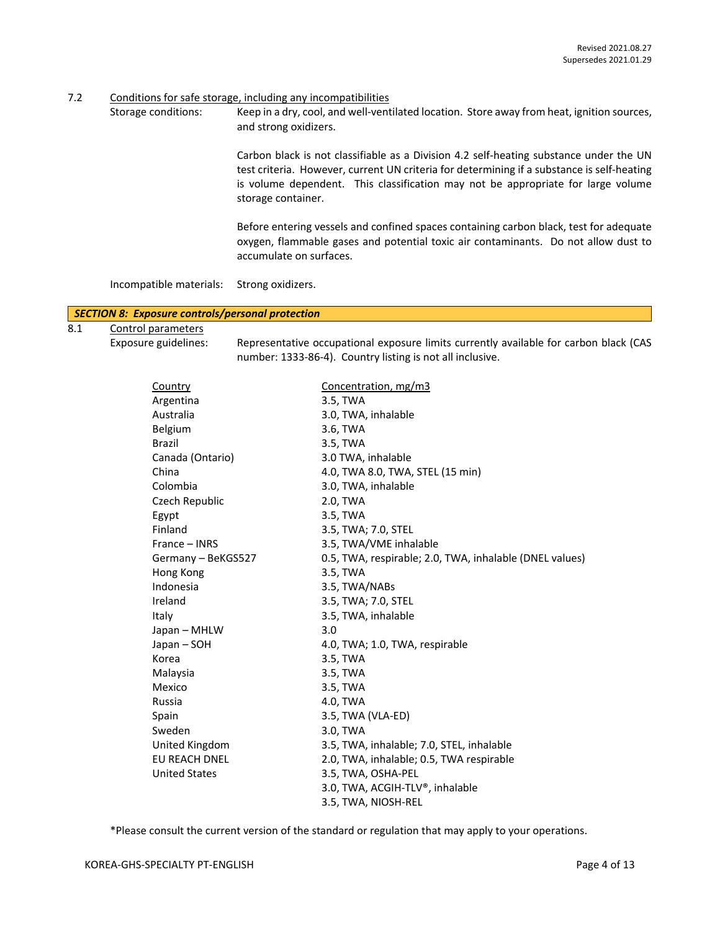7.2 Conditions for safe storage, including any incompatibilities

Storage conditions: Keep in a dry, cool, and well-ventilated location. Store away from heat, ignition sources, and strong oxidizers.

> Carbon black is not classifiable as a Division 4.2 self-heating substance under the UN test criteria. However, current UN criteria for determining if a substance is self-heating is volume dependent. This classification may not be appropriate for large volume storage container.

> Before entering vessels and confined spaces containing carbon black, test for adequate oxygen, flammable gases and potential toxic air contaminants. Do not allow dust to accumulate on surfaces.

Incompatible materials: Strong oxidizers.

#### *SECTION 8: Exposure controls/personal protection*

- 8.1 Control parameters
- 

Exposure guidelines: Representative occupational exposure limits currently available for carbon black (CAS number: 1333-86-4). Country listing is not all inclusive.

| Country              | Concentration, mg/m3                                    |
|----------------------|---------------------------------------------------------|
| Argentina            | 3.5, TWA                                                |
| Australia            | 3.0, TWA, inhalable                                     |
| Belgium              | 3.6, TWA                                                |
| <b>Brazil</b>        | 3.5, TWA                                                |
| Canada (Ontario)     | 3.0 TWA, inhalable                                      |
| China                | 4.0, TWA 8.0, TWA, STEL (15 min)                        |
| Colombia             | 3.0, TWA, inhalable                                     |
| Czech Republic       | 2.0, TWA                                                |
| Egypt                | 3.5, TWA                                                |
| Finland              | 3.5, TWA; 7.0, STEL                                     |
| France - INRS        | 3.5, TWA/VME inhalable                                  |
| Germany - BeKGS527   | 0.5, TWA, respirable; 2.0, TWA, inhalable (DNEL values) |
| Hong Kong            | 3.5, TWA                                                |
| Indonesia            | 3.5, TWA/NABs                                           |
| Ireland              | 3.5, TWA; 7.0, STEL                                     |
| Italy                | 3.5, TWA, inhalable                                     |
| Japan - MHLW         | 3.0                                                     |
| Japan - SOH          | 4.0, TWA; 1.0, TWA, respirable                          |
| Korea                | 3.5, TWA                                                |
| Malaysia             | 3.5, TWA                                                |
| Mexico               | 3.5, TWA                                                |
| Russia               | 4.0, TWA                                                |
| Spain                | 3.5, TWA (VLA-ED)                                       |
| Sweden               | 3.0, TWA                                                |
| United Kingdom       | 3.5, TWA, inhalable; 7.0, STEL, inhalable               |
| <b>EU REACH DNEL</b> | 2.0, TWA, inhalable; 0.5, TWA respirable                |
| <b>United States</b> | 3.5, TWA, OSHA-PEL                                      |
|                      | 3.0, TWA, ACGIH-TLV®, inhalable                         |
|                      | 3.5, TWA, NIOSH-REL                                     |

\*Please consult the current version of the standard or regulation that may apply to your operations.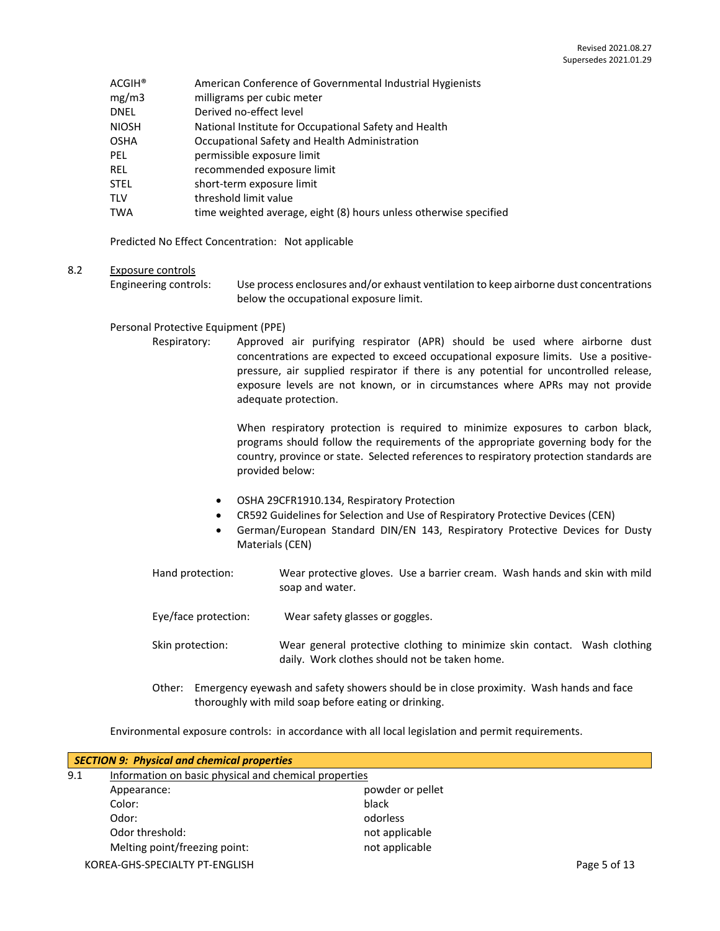- ACGIH® American Conference of Governmental Industrial Hygienists
- mg/m3 milligrams per cubic meter
- DNEL Derived no-effect level
- NIOSH National Institute for Occupational Safety and Health
- OSHA Occupational Safety and Health Administration
- PEL permissible exposure limit
- REL recommended exposure limit
- STEL short-term exposure limit
- TLV threshold limit value
- TWA time weighted average, eight (8) hours unless otherwise specified

Predicted No Effect Concentration: Not applicable

#### 8.2 Exposure controls

Engineering controls: Use process enclosures and/or exhaust ventilation to keep airborne dust concentrations below the occupational exposure limit.

#### Personal Protective Equipment (PPE)

Respiratory: Approved air purifying respirator (APR) should be used where airborne dust concentrations are expected to exceed occupational exposure limits. Use a positivepressure, air supplied respirator if there is any potential for uncontrolled release, exposure levels are not known, or in circumstances where APRs may not provide adequate protection.

> When respiratory protection is required to minimize exposures to carbon black, programs should follow the requirements of the appropriate governing body for the country, province or state. Selected references to respiratory protection standards are provided below:

- OSHA 29CFR1910.134, Respiratory Protection
- CR592 Guidelines for Selection and Use of Respiratory Protective Devices (CEN)
- German/European Standard DIN/EN 143, Respiratory Protective Devices for Dusty Materials (CEN)
- Hand protection: Wear protective gloves. Use a barrier cream. Wash hands and skin with mild soap and water.
- Eye/face protection: Wear safety glasses or goggles.
- Skin protection: Wear general protective clothing to minimize skin contact. Wash clothing daily. Work clothes should not be taken home.
- Other: Emergency eyewash and safety showers should be in close proximity. Wash hands and face thoroughly with mild soap before eating or drinking.

Environmental exposure controls: in accordance with all local legislation and permit requirements.

| <b>SECTION 9: Physical and chemical properties</b> |                                                       |                  |              |
|----------------------------------------------------|-------------------------------------------------------|------------------|--------------|
| 9.1                                                | Information on basic physical and chemical properties |                  |              |
|                                                    | Appearance:                                           | powder or pellet |              |
|                                                    | Color:                                                | black            |              |
|                                                    | Odor:                                                 | odorless         |              |
|                                                    | Odor threshold:                                       | not applicable   |              |
|                                                    | Melting point/freezing point:                         | not applicable   |              |
|                                                    | KOREA-GHS-SPECIALTY PT-ENGLISH                        |                  | Page 5 of 13 |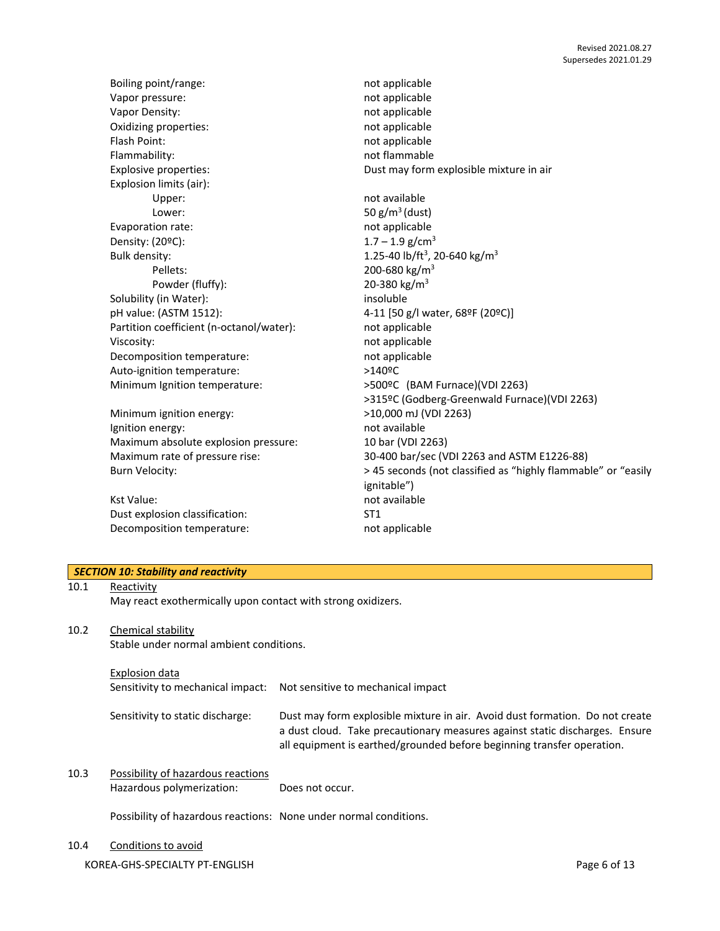Boiling point/range: not applicable Vapor pressure: not applicable Vapor Density: National Contract of the Magnetic Australian Contract and Australian Contract of the Magnetic Australian Contract of the Value of the Value of the Value of the Value of the Value of the Value of the Value of Oxidizing properties: not applicable Flash Point: not applicable Flammability: not flammable Explosive properties: Dust may form explosible mixture in air Explosion limits (air): Upper: not available Lower:  $50 g/m<sup>3</sup>$  (dust) Evaporation rate: not applicable Density:  $(20^{\circ}C)$ : 1.7 – 1.9 g/cm<sup>3</sup> Bulk density:  $1.25-40$  lb/ft<sup>3</sup>, 20-640 kg/m<sup>3</sup> Pellets: 200-680 kg/m<sup>3</sup> Powder (fluffy): 20-380 kg/m<sup>3</sup> Solubility (in Water): insoluble pH value: (ASTM 1512): 4-11 [50 g/l water, 68ºF (20ºC)] Partition coefficient (n-octanol/water): not applicable Viscosity: **not** applicable Decomposition temperature: not applicable Auto-ignition temperature: >140°C Minimum Ignition temperature: >500ºC (BAM Furnace)(VDI 2263) Minimum ignition energy:  $>10,000$  mJ (VDI 2263)

Ignition energy: and available in the state of the state of the state of the state of the state of the state o Maximum absolute explosion pressure: 10 bar (VDI 2263)

Kst Value: not available Dust explosion classification: ST1 Decomposition temperature: not applicable

>315ºC (Godberg-Greenwald Furnace)(VDI 2263) Maximum rate of pressure rise: 30-400 bar/sec (VDI 2263 and ASTM E1226-88) Burn Velocity:  $\longrightarrow$  45 seconds (not classified as "highly flammable" or "easily ignitable")

#### *SECTION 10: Stability and reactivity*

#### 10.1 Reactivity

May react exothermically upon contact with strong oxidizers.

#### 10.2 Chemical stability

Stable under normal ambient conditions.

#### Explosion data

Sensitivity to mechanical impact: Not sensitive to mechanical impact

- Sensitivity to static discharge: Dust may form explosible mixture in air. Avoid dust formation. Do not create a dust cloud. Take precautionary measures against static discharges. Ensure all equipment is earthed/grounded before beginning transfer operation.
- 10.3 Possibility of hazardous reactions Hazardous polymerization: Does not occur.

Possibility of hazardous reactions: None under normal conditions.

#### 10.4 Conditions to avoid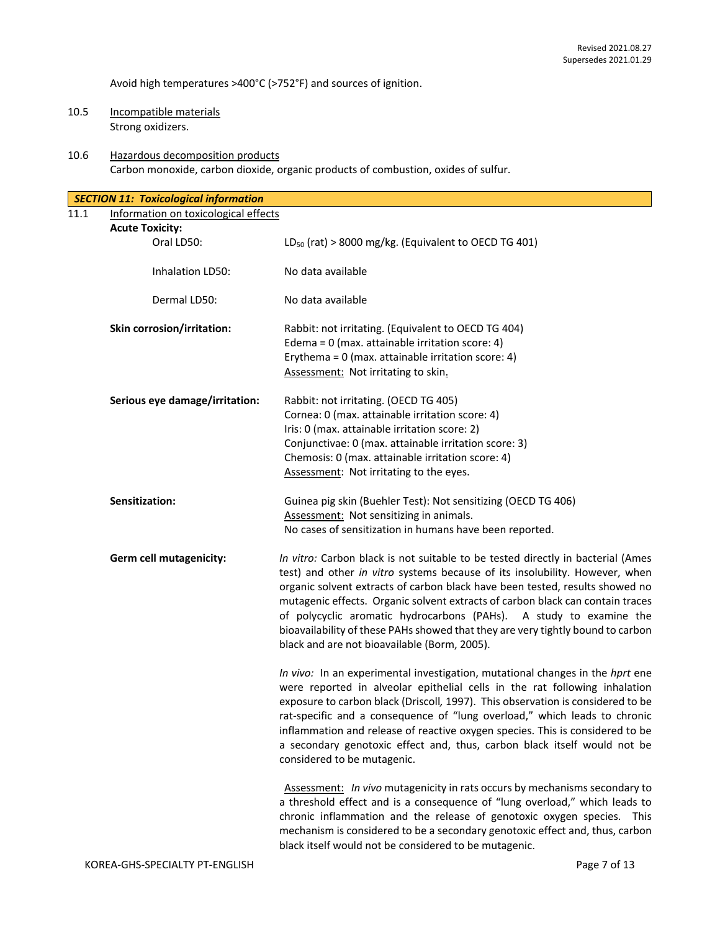Avoid high temperatures >400°C (>752°F) and sources of ignition.

- 10.5 Incompatible materials Strong oxidizers.
- 10.6 Hazardous decomposition products Carbon monoxide, carbon dioxide, organic products of combustion, oxides of sulfur.

|      | <b>SECTION 11: Toxicological information</b> |                                                                                                                                                                                                                                                                                                                                                                                                                                                                                                                                           |
|------|----------------------------------------------|-------------------------------------------------------------------------------------------------------------------------------------------------------------------------------------------------------------------------------------------------------------------------------------------------------------------------------------------------------------------------------------------------------------------------------------------------------------------------------------------------------------------------------------------|
| 11.1 | Information on toxicological effects         |                                                                                                                                                                                                                                                                                                                                                                                                                                                                                                                                           |
|      | <b>Acute Toxicity:</b>                       |                                                                                                                                                                                                                                                                                                                                                                                                                                                                                                                                           |
|      | Oral LD50:                                   | $LD_{50}$ (rat) > 8000 mg/kg. (Equivalent to OECD TG 401)                                                                                                                                                                                                                                                                                                                                                                                                                                                                                 |
|      | Inhalation LD50:                             | No data available                                                                                                                                                                                                                                                                                                                                                                                                                                                                                                                         |
|      | Dermal LD50:                                 | No data available                                                                                                                                                                                                                                                                                                                                                                                                                                                                                                                         |
|      | Skin corrosion/irritation:                   | Rabbit: not irritating. (Equivalent to OECD TG 404)<br>Edema = $0$ (max. attainable irritation score: 4)<br>Erythema = 0 (max. attainable irritation score: 4)<br>Assessment: Not irritating to skin.                                                                                                                                                                                                                                                                                                                                     |
|      | Serious eye damage/irritation:               | Rabbit: not irritating. (OECD TG 405)<br>Cornea: 0 (max. attainable irritation score: 4)<br>Iris: 0 (max. attainable irritation score: 2)<br>Conjunctivae: 0 (max. attainable irritation score: 3)<br>Chemosis: 0 (max. attainable irritation score: 4)<br>Assessment: Not irritating to the eyes.                                                                                                                                                                                                                                        |
|      | Sensitization:                               | Guinea pig skin (Buehler Test): Not sensitizing (OECD TG 406)<br>Assessment: Not sensitizing in animals.<br>No cases of sensitization in humans have been reported.                                                                                                                                                                                                                                                                                                                                                                       |
|      | Germ cell mutagenicity:                      | In vitro: Carbon black is not suitable to be tested directly in bacterial (Ames<br>test) and other in vitro systems because of its insolubility. However, when<br>organic solvent extracts of carbon black have been tested, results showed no<br>mutagenic effects. Organic solvent extracts of carbon black can contain traces<br>of polycyclic aromatic hydrocarbons (PAHs). A study to examine the<br>bioavailability of these PAHs showed that they are very tightly bound to carbon<br>black and are not bioavailable (Borm, 2005). |
|      |                                              | In vivo: In an experimental investigation, mutational changes in the hprt ene<br>were reported in alveolar epithelial cells in the rat following inhalation<br>exposure to carbon black (Driscoll, 1997). This observation is considered to be<br>rat-specific and a consequence of "lung overload," which leads to chronic<br>inflammation and release of reactive oxygen species. This is considered to be<br>a secondary genotoxic effect and, thus, carbon black itself would not be<br>considered to be mutagenic.                   |
|      |                                              | Assessment: In vivo mutagenicity in rats occurs by mechanisms secondary to<br>a threshold effect and is a consequence of "lung overload," which leads to<br>chronic inflammation and the release of genotoxic oxygen species. This<br>mechanism is considered to be a secondary genotoxic effect and, thus, carbon<br>black itself would not be considered to be mutagenic.                                                                                                                                                               |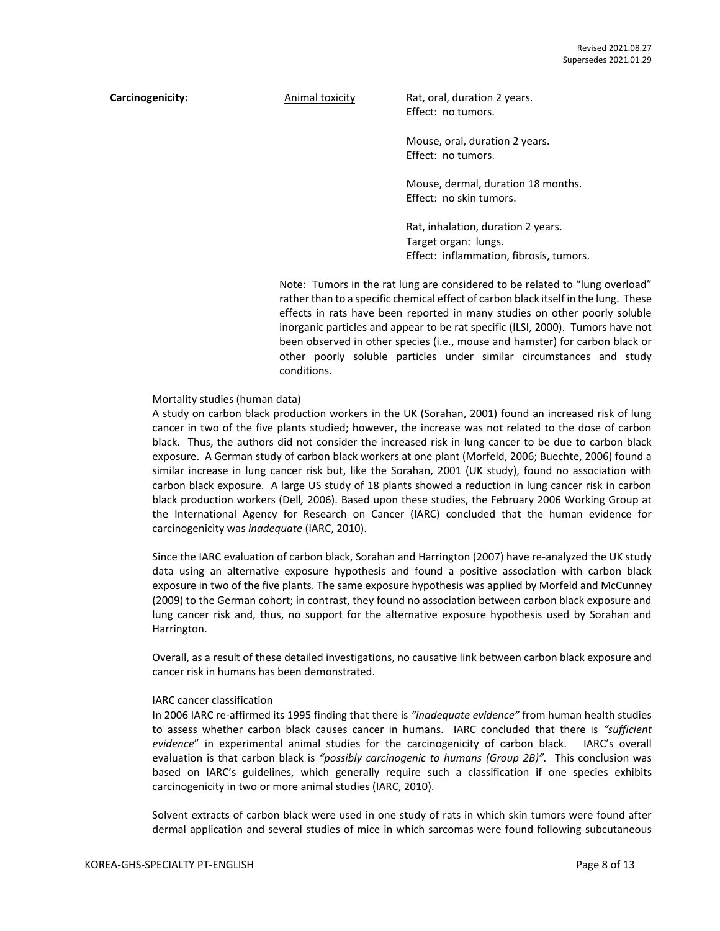**Carcinogenicity:** Animal toxicity Rat, oral, duration 2 years. Effect: no tumors.

> Mouse, oral, duration 2 years. Effect: no tumors.

Mouse, dermal, duration 18 months. Effect: no skin tumors.

Rat, inhalation, duration 2 years. Target organ: lungs. Effect: inflammation, fibrosis, tumors.

Note: Tumors in the rat lung are considered to be related to "lung overload" rather than to a specific chemical effect of carbon black itself in the lung. These effects in rats have been reported in many studies on other poorly soluble inorganic particles and appear to be rat specific (ILSI, 2000). Tumors have not been observed in other species (i.e., mouse and hamster) for carbon black or other poorly soluble particles under similar circumstances and study conditions.

#### Mortality studies (human data)

A study on carbon black production workers in the UK (Sorahan, 2001) found an increased risk of lung cancer in two of the five plants studied; however, the increase was not related to the dose of carbon black. Thus, the authors did not consider the increased risk in lung cancer to be due to carbon black exposure. A German study of carbon black workers at one plant (Morfeld, 2006; Buechte, 2006) found a similar increase in lung cancer risk but, like the Sorahan, 2001 (UK study), found no association with carbon black exposure. A large US study of 18 plants showed a reduction in lung cancer risk in carbon black production workers (Dell*,* 2006). Based upon these studies, the February 2006 Working Group at the International Agency for Research on Cancer (IARC) concluded that the human evidence for carcinogenicity was *inadequate* (IARC, 2010).

Since the IARC evaluation of carbon black, Sorahan and Harrington (2007) have re-analyzed the UK study data using an alternative exposure hypothesis and found a positive association with carbon black exposure in two of the five plants. The same exposure hypothesis was applied by Morfeld and McCunney (2009) to the German cohort; in contrast, they found no association between carbon black exposure and lung cancer risk and, thus, no support for the alternative exposure hypothesis used by Sorahan and Harrington.

Overall, as a result of these detailed investigations, no causative link between carbon black exposure and cancer risk in humans has been demonstrated.

#### IARC cancer classification

In 2006 IARC re-affirmed its 1995 finding that there is *"inadequate evidence"* from human health studies to assess whether carbon black causes cancer in humans. IARC concluded that there is *"sufficient evidence*" in experimental animal studies for the carcinogenicity of carbon black. IARC's overall evaluation is that carbon black is *"possibly carcinogenic to humans (Group 2B)".* This conclusion was based on IARC's guidelines, which generally require such a classification if one species exhibits carcinogenicity in two or more animal studies (IARC, 2010).

Solvent extracts of carbon black were used in one study of rats in which skin tumors were found after dermal application and several studies of mice in which sarcomas were found following subcutaneous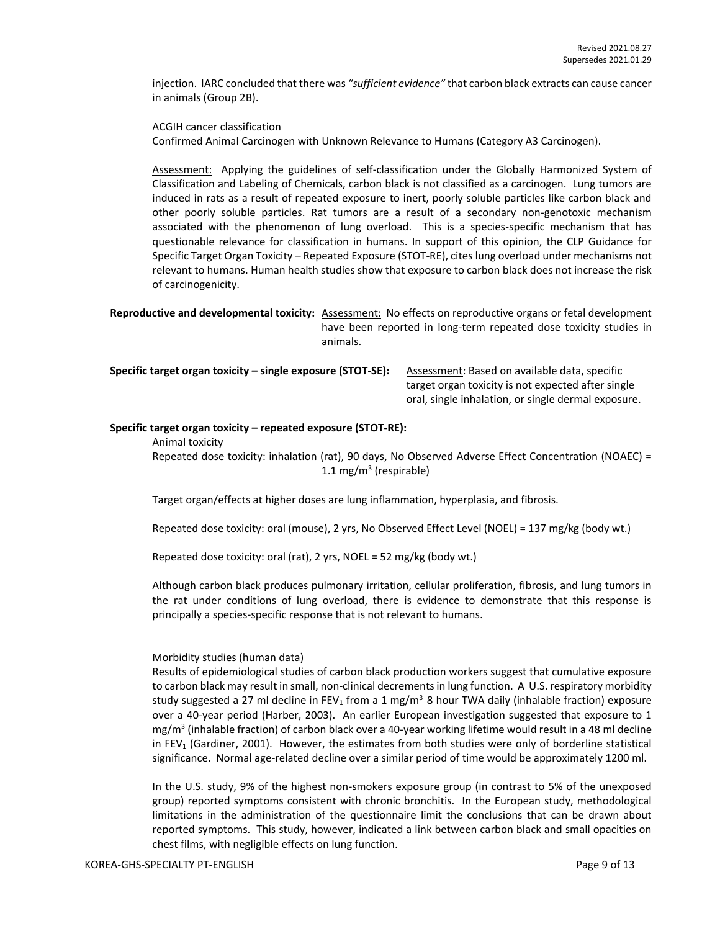injection. IARC concluded that there was *"sufficient evidence"* that carbon black extracts can cause cancer in animals (Group 2B).

ACGIH cancer classification

Confirmed Animal Carcinogen with Unknown Relevance to Humans (Category A3 Carcinogen).

Assessment: Applying the guidelines of self-classification under the Globally Harmonized System of Classification and Labeling of Chemicals, carbon black is not classified as a carcinogen. Lung tumors are induced in rats as a result of repeated exposure to inert, poorly soluble particles like carbon black and other poorly soluble particles. Rat tumors are a result of a secondary non-genotoxic mechanism associated with the phenomenon of lung overload. This is a species-specific mechanism that has questionable relevance for classification in humans. In support of this opinion, the CLP Guidance for Specific Target Organ Toxicity – Repeated Exposure (STOT-RE), cites lung overload under mechanisms not relevant to humans. Human health studies show that exposure to carbon black does not increase the risk of carcinogenicity.

**Reproductive and developmental toxicity:** Assessment: No effects on reproductive organs or fetal development have been reported in long-term repeated dose toxicity studies in animals.

**Specific target organ toxicity – single exposure (STOT-SE):** Assessment: Based on available data, specific

target organ toxicity is not expected after single oral, single inhalation, or single dermal exposure.

#### **Specific target organ toxicity – repeated exposure (STOT-RE):**

Animal toxicity

Repeated dose toxicity: inhalation (rat), 90 days, No Observed Adverse Effect Concentration (NOAEC) = 1.1 mg/m<sup>3</sup> (respirable)

Target organ/effects at higher doses are lung inflammation, hyperplasia, and fibrosis.

Repeated dose toxicity: oral (mouse), 2 yrs, No Observed Effect Level (NOEL) = 137 mg/kg (body wt.)

Repeated dose toxicity: oral (rat), 2 yrs, NOEL = 52 mg/kg (body wt.)

Although carbon black produces pulmonary irritation, cellular proliferation, fibrosis, and lung tumors in the rat under conditions of lung overload, there is evidence to demonstrate that this response is principally a species-specific response that is not relevant to humans.

#### Morbidity studies (human data)

Results of epidemiological studies of carbon black production workers suggest that cumulative exposure to carbon black may result in small, non-clinical decrements in lung function. A U.S. respiratory morbidity study suggested a 27 ml decline in FEV<sub>1</sub> from a 1 mg/m<sup>3</sup> 8 hour TWA daily (inhalable fraction) exposure over a 40-year period (Harber, 2003). An earlier European investigation suggested that exposure to 1 mg/m<sup>3</sup> (inhalable fraction) of carbon black over a 40-year working lifetime would result in a 48 ml decline in FEV<sup>1</sup> (Gardiner, 2001). However, the estimates from both studies were only of borderline statistical significance. Normal age-related decline over a similar period of time would be approximately 1200 ml.

In the U.S. study, 9% of the highest non-smokers exposure group (in contrast to 5% of the unexposed group) reported symptoms consistent with chronic bronchitis. In the European study, methodological limitations in the administration of the questionnaire limit the conclusions that can be drawn about reported symptoms. This study, however, indicated a link between carbon black and small opacities on chest films, with negligible effects on lung function.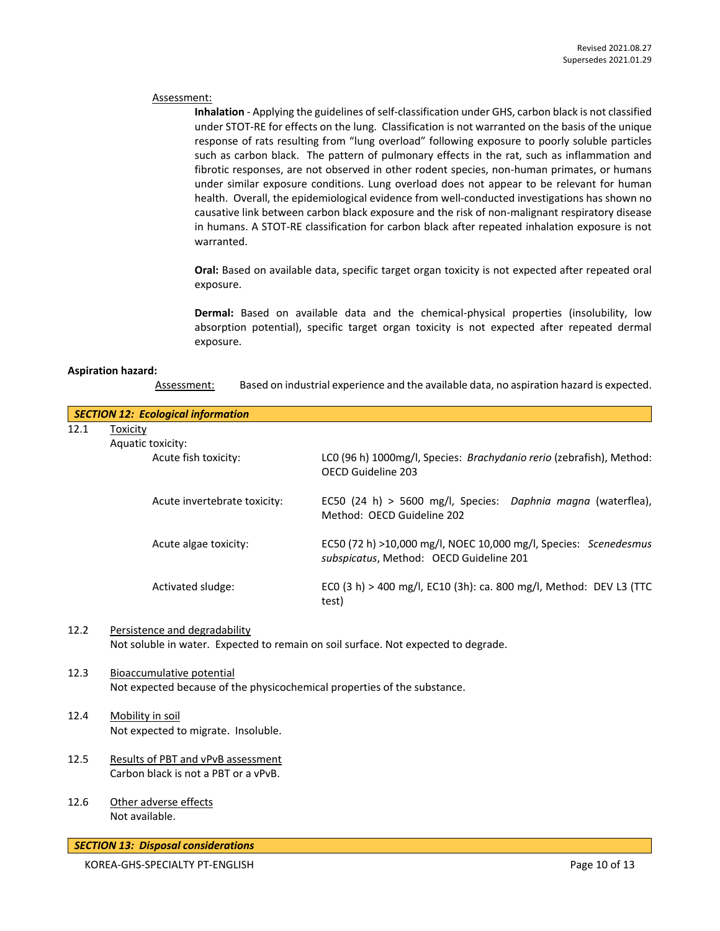#### Assessment:

**Inhalation** - Applying the guidelines of self-classification under GHS, carbon black is not classified under STOT-RE for effects on the lung. Classification is not warranted on the basis of the unique response of rats resulting from "lung overload" following exposure to poorly soluble particles such as carbon black. The pattern of pulmonary effects in the rat, such as inflammation and fibrotic responses, are not observed in other rodent species, non-human primates, or humans under similar exposure conditions. Lung overload does not appear to be relevant for human health. Overall, the epidemiological evidence from well-conducted investigations has shown no causative link between carbon black exposure and the risk of non-malignant respiratory disease in humans. A STOT-RE classification for carbon black after repeated inhalation exposure is not warranted.

**Oral:** Based on available data, specific target organ toxicity is not expected after repeated oral exposure.

**Dermal:** Based on available data and the chemical-physical properties (insolubility, low absorption potential), specific target organ toxicity is not expected after repeated dermal exposure.

#### **Aspiration hazard:**

Assessment: Based on industrial experience and the available data, no aspiration hazard is expected.

|      | <b>SECTION 12: Ecological information</b>                                                                           |                                                                                                             |  |
|------|---------------------------------------------------------------------------------------------------------------------|-------------------------------------------------------------------------------------------------------------|--|
| 12.1 | Toxicity                                                                                                            |                                                                                                             |  |
|      | Aquatic toxicity:                                                                                                   |                                                                                                             |  |
|      | Acute fish toxicity:                                                                                                | LCO (96 h) 1000mg/l, Species: Brachydanio rerio (zebrafish), Method:<br>OECD Guideline 203                  |  |
|      | Acute invertebrate toxicity:                                                                                        | EC50 (24 h) > 5600 mg/l, Species: Daphnia magna (waterflea),<br>Method: OECD Guideline 202                  |  |
|      | Acute algae toxicity:                                                                                               | EC50 (72 h) >10,000 mg/l, NOEC 10,000 mg/l, Species: Scenedesmus<br>subspicatus, Method: OECD Guideline 201 |  |
|      | Activated sludge:                                                                                                   | ECO (3 h) > 400 mg/l, EC10 (3h): ca. 800 mg/l, Method: DEV L3 (TTC<br>test)                                 |  |
| 12.2 | Persistence and degradability<br>Not soluble in water. Expected to remain on soil surface. Not expected to degrade. |                                                                                                             |  |
| 12.3 | Bioaccumulative potential<br>Not expected because of the physicochemical properties of the substance.               |                                                                                                             |  |
| 12.4 | Mobility in soil                                                                                                    |                                                                                                             |  |
|      | Not expected to migrate. Insoluble.                                                                                 |                                                                                                             |  |
| 12.5 | Results of PBT and vPvB assessment                                                                                  |                                                                                                             |  |
|      | Carbon black is not a PBT or a vPvB.                                                                                |                                                                                                             |  |
| 12.6 | Other adverse effects                                                                                               |                                                                                                             |  |
|      | Not available.                                                                                                      |                                                                                                             |  |
|      | <b>SECTION 13: Disposal considerations</b>                                                                          |                                                                                                             |  |

KOREA-GHS-SPECIALTY PT-ENGLISH **Page 10 of 13**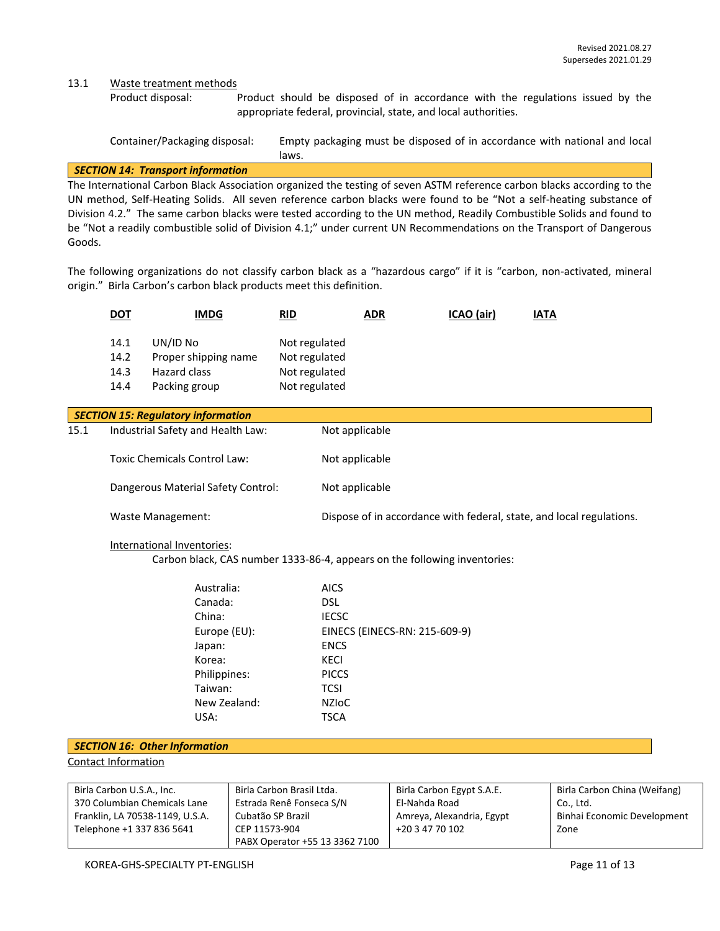13.1 Waste treatment methods

Product disposal: Product should be disposed of in accordance with the regulations issued by the appropriate federal, provincial, state, and local authorities.

| Container/Packaging disposal: | Empty packaging must be disposed of in accordance with national and local |
|-------------------------------|---------------------------------------------------------------------------|
|                               | laws.                                                                     |

#### *SECTION 14: Transport information*

The International Carbon Black Association organized the testing of seven ASTM reference carbon blacks according to the UN method, Self-Heating Solids. All seven reference carbon blacks were found to be "Not a self-heating substance of Division 4.2." The same carbon blacks were tested according to the UN method, Readily Combustible Solids and found to be "Not a readily combustible solid of Division 4.1;" under current UN Recommendations on the Transport of Dangerous Goods.

The following organizations do not classify carbon black as a "hazardous cargo" if it is "carbon, non-activated, mineral origin." Birla Carbon's carbon black products meet this definition.

| <u>DOT</u>                   | <b>IMDG</b>                                                       | RID                                                              | <u>ADR</u> | ICAO (air) | <b>IATA</b> |
|------------------------------|-------------------------------------------------------------------|------------------------------------------------------------------|------------|------------|-------------|
| 14.1<br>14.2<br>14.3<br>14.4 | UN/ID No<br>Proper shipping name<br>Hazard class<br>Packing group | Not regulated<br>Not regulated<br>Not regulated<br>Not regulated |            |            |             |

|      | <b>SECTION 15: Regulatory information</b> |                                                                      |  |  |  |
|------|-------------------------------------------|----------------------------------------------------------------------|--|--|--|
| 15.1 | Industrial Safety and Health Law:         | Not applicable                                                       |  |  |  |
|      | Toxic Chemicals Control Law:              | Not applicable                                                       |  |  |  |
|      | Dangerous Material Safety Control:        | Not applicable                                                       |  |  |  |
|      | Waste Management:                         | Dispose of in accordance with federal, state, and local regulations. |  |  |  |

#### International Inventories:

Carbon black, CAS number 1333-86-4, appears on the following inventories:

| Australia:   | <b>AICS</b>                   |
|--------------|-------------------------------|
| Canada:      | DSL.                          |
| China:       | <b>IECSC</b>                  |
| Europe (EU): | EINECS (EINECS-RN: 215-609-9) |
| Japan:       | <b>ENCS</b>                   |
| Korea:       | KECI                          |
| Philippines: | <b>PICCS</b>                  |
| Taiwan:      | <b>TCSI</b>                   |
| New Zealand: | <b>NZIOC</b>                  |
| USA:         | TSCA                          |
|              |                               |

#### *SECTION 16: Other Information*

Contact Information

| Birla Carbon U.S.A., Inc.       | Birla Carbon Brasil Ltda.      | Birla Carbon Egypt S.A.E. | Birla Carbon China (Weifang) |
|---------------------------------|--------------------------------|---------------------------|------------------------------|
| 370 Columbian Chemicals Lane    | Estrada Renê Fonseca S/N       | El-Nahda Road             | Co Ltd.                      |
| Franklin, LA 70538-1149, U.S.A. | Cubatão SP Brazil              | Amreya, Alexandria, Egypt | Binhai Economic Development  |
| Telephone +1 337 836 5641       | CEP 11573-904                  | +20 3 47 70 102           | Zone                         |
|                                 | PABX Operator +55 13 3362 7100 |                           |                              |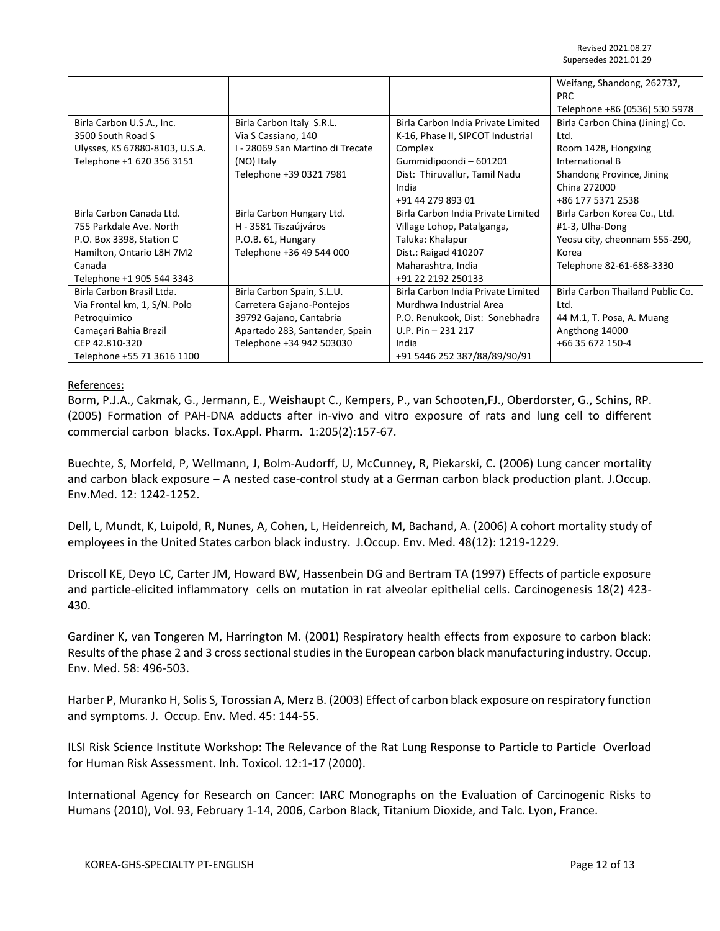|                                |                                  |                                    | Weifang, Shandong, 262737,       |
|--------------------------------|----------------------------------|------------------------------------|----------------------------------|
|                                |                                  |                                    | <b>PRC</b>                       |
|                                |                                  |                                    | Telephone +86 (0536) 530 5978    |
| Birla Carbon U.S.A., Inc.      | Birla Carbon Italy S.R.L.        | Birla Carbon India Private Limited | Birla Carbon China (Jining) Co.  |
| 3500 South Road S              | Via S Cassiano, 140              | K-16, Phase II, SIPCOT Industrial  | Ltd.                             |
| Ulysses, KS 67880-8103, U.S.A. | I - 28069 San Martino di Trecate | Complex                            | Room 1428, Hongxing              |
| Telephone +1 620 356 3151      | (NO) Italy                       | Gummidipoondi - 601201             | International B                  |
|                                | Telephone +39 0321 7981          | Dist: Thiruvallur, Tamil Nadu      | Shandong Province, Jining        |
|                                |                                  | India                              | China 272000                     |
|                                |                                  | +91 44 279 893 01                  | +86 177 5371 2538                |
| Birla Carbon Canada Ltd.       | Birla Carbon Hungary Ltd.        | Birla Carbon India Private Limited | Birla Carbon Korea Co., Ltd.     |
| 755 Parkdale Ave. North        | H - 3581 Tiszaújváros            | Village Lohop, Patalganga,         | #1-3, Ulha-Dong                  |
| P.O. Box 3398, Station C       | P.O.B. 61, Hungary               | Taluka: Khalapur                   | Yeosu city, cheonnam 555-290,    |
| Hamilton, Ontario L8H 7M2      | Telephone +36 49 544 000         | Dist.: Raigad 410207               | Korea                            |
| Canada                         |                                  | Maharashtra, India                 | Telephone 82-61-688-3330         |
| Telephone +1 905 544 3343      |                                  | +91 22 2192 250133                 |                                  |
| Birla Carbon Brasil Ltda.      | Birla Carbon Spain, S.L.U.       | Birla Carbon India Private Limited | Birla Carbon Thailand Public Co. |
| Via Frontal km, 1, S/N. Polo   | Carretera Gajano-Pontejos        | Murdhwa Industrial Area            | Itd.                             |
| Petroquimico                   | 39792 Gajano, Cantabria          | P.O. Renukook, Dist: Sonebhadra    | 44 M.1, T. Posa, A. Muang        |
| Camaçari Bahia Brazil          | Apartado 283, Santander, Spain   | U.P. Pin $-231$ 217                | Angthong 14000                   |
| CEP 42.810-320                 | Telephone +34 942 503030         | India                              | +66 35 672 150-4                 |
| Telephone +55 71 3616 1100     |                                  | +91 5446 252 387/88/89/90/91       |                                  |

#### References:

Borm, P.J.A., Cakmak, G., Jermann, E., Weishaupt C., Kempers, P., van Schooten,FJ., Oberdorster, G., Schins, RP. (2005) Formation of PAH-DNA adducts after in-vivo and vitro exposure of rats and lung cell to different commercial carbon blacks. Tox.Appl. Pharm. 1:205(2):157-67.

Buechte, S, Morfeld, P, Wellmann, J, Bolm-Audorff, U, McCunney, R, Piekarski, C. (2006) Lung cancer mortality and carbon black exposure – A nested case-control study at a German carbon black production plant. J.Occup. Env.Med. 12: 1242-1252.

Dell, L, Mundt, K, Luipold, R, Nunes, A, Cohen, L, Heidenreich, M, Bachand, A. (2006) A cohort mortality study of employees in the United States carbon black industry. J.Occup. Env. Med. 48(12): 1219-1229.

Driscoll KE, Deyo LC, Carter JM, Howard BW, Hassenbein DG and Bertram TA (1997) Effects of particle exposure and particle-elicited inflammatory cells on mutation in rat alveolar epithelial cells. Carcinogenesis 18(2) 423- 430.

Gardiner K, van Tongeren M, Harrington M. (2001) Respiratory health effects from exposure to carbon black: Results of the phase 2 and 3 cross sectional studies in the European carbon black manufacturing industry. Occup. Env. Med. 58: 496-503.

Harber P, Muranko H, Solis S, Torossian A, Merz B. (2003) Effect of carbon black exposure on respiratory function and symptoms. J. Occup. Env. Med. 45: 144-55.

ILSI Risk Science Institute Workshop: The Relevance of the Rat Lung Response to Particle to Particle Overload for Human Risk Assessment. Inh. Toxicol. 12:1-17 (2000).

International Agency for Research on Cancer: IARC Monographs on the Evaluation of Carcinogenic Risks to Humans (2010), Vol. 93, February 1-14, 2006, Carbon Black, Titanium Dioxide, and Talc. Lyon, France.